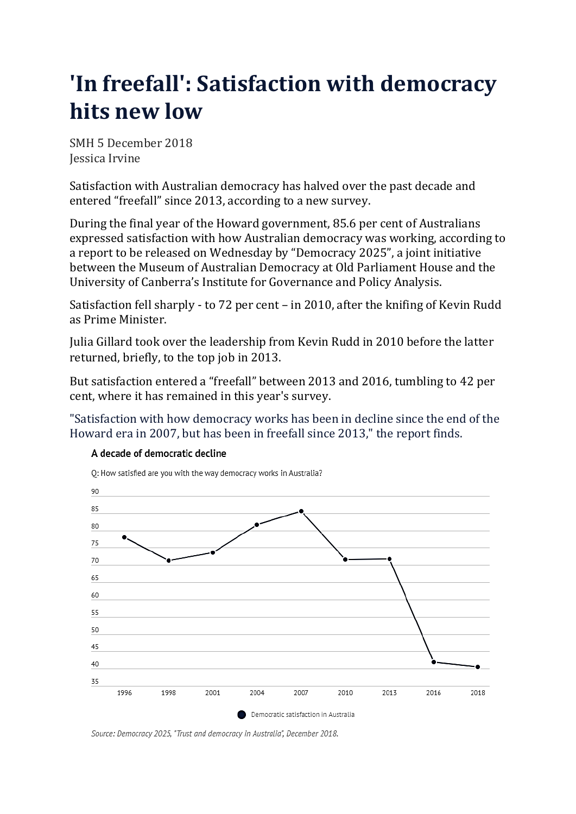## **'In freefall': Satisfaction with democracy hits new low**

SMH 5 December 2018 Jessica Irvine

Satisfaction with Australian democracy has halved over the past decade and entered "freefall" since 2013, according to a new survey.

During the final year of the Howard government, 85.6 per cent of Australians expressed satisfaction with how Australian democracy was working, according to a report to be released on Wednesday by "Democracy 2025", a joint initiative between the Museum of Australian Democracy at Old Parliament House and the University of Canberra's Institute for Governance and Policy Analysis.

Satisfaction fell sharply - to 72 per cent – in 2010, after the knifing of Kevin Rudd as Prime Minister.

Julia Gillard took over the leadership from Kevin Rudd in 2010 before the latter returned, briefly, to the top job in 2013.

But satisfaction entered a "freefall" between 2013 and 2016, tumbling to 42 per cent, where it has remained in this year's survey.

"Satisfaction with how democracy works has been in decline since the end of the Howard era in 2007, but has been in freefall since 2013," the report finds.



## A decade of democratic decline

Source: Democracy 2025, "Trust and democracy in Australia", December 2018.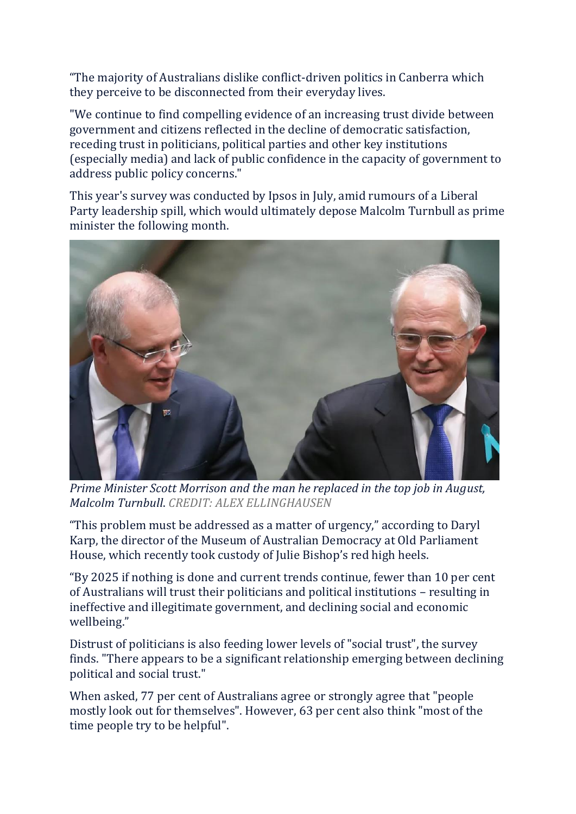"The majority of Australians dislike conflict-driven politics in Canberra which they perceive to be disconnected from their everyday lives.

"We continue to find compelling evidence of an increasing trust divide between government and citizens reflected in the decline of democratic satisfaction, receding trust in politicians, political parties and other key institutions (especially media) and lack of public confidence in the capacity of government to address public policy concerns."

This year's survey was conducted by Ipsos in July, amid rumours of a Liberal Party leadership spill, which would ultimately depose Malcolm Turnbull as prime minister the following month.



*Prime Minister Scott Morrison and the man he replaced in the top job in August, Malcolm Turnbull*. *CREDIT: ALEX ELLINGHAUSEN*

"This problem must be addressed as a matter of urgency," according to Daryl Karp, the director of the Museum of Australian Democracy at Old Parliament House, which recently took custody of Julie Bishop's red high heels.

"By 2025 if nothing is done and current trends continue, fewer than 10 per cent of Australians will trust their politicians and political institutions – resulting in ineffective and illegitimate government, and declining social and economic wellbeing."

Distrust of politicians is also feeding lower levels of "social trust", the survey finds. "There appears to be a significant relationship emerging between declining political and social trust."

When asked, 77 per cent of Australians agree or strongly agree that "people mostly look out for themselves". However, 63 per cent also think "most of the time people try to be helpful".